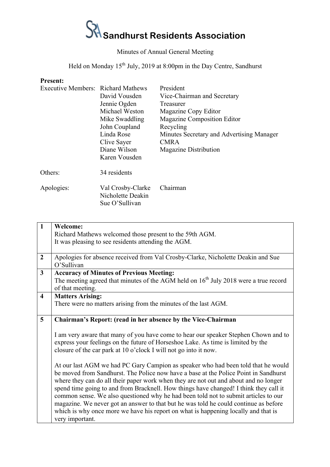## $S$ <sup>1</sup> Sandhurst Residents Association

## Minutes of Annual General Meeting

Held on Monday 15th July, 2019 at 8:00pm in the Day Centre, Sandhurst

## **Present:**

| Executive Members: Richard Mathews |                   | President                                 |
|------------------------------------|-------------------|-------------------------------------------|
|                                    | David Vousden     | Vice-Chairman and Secretary               |
|                                    | Jennie Ogden      | Treasurer                                 |
|                                    | Michael Weston    | Magazine Copy Editor                      |
|                                    | Mike Swaddling    | Magazine Composition Editor               |
|                                    | John Coupland     | Recycling                                 |
|                                    | Linda Rose        | Minutes Secretary and Advertising Manager |
|                                    | Clive Sayer       | <b>CMRA</b>                               |
|                                    | Diane Wilson      | <b>Magazine Distribution</b>              |
|                                    | Karen Vousden     |                                           |
| Others:                            | 34 residents      |                                           |
| Apologies:                         | Val Crosby-Clarke | Chairman                                  |
|                                    | Nicholette Deakin |                                           |
|                                    | Sue O'Sullivan    |                                           |

| <b>Welcome:</b>                                                                                                                                                           |  |  |                                                                                       |
|---------------------------------------------------------------------------------------------------------------------------------------------------------------------------|--|--|---------------------------------------------------------------------------------------|
| Richard Mathews welcomed those present to the 59th AGM.                                                                                                                   |  |  |                                                                                       |
| It was pleasing to see residents attending the AGM.                                                                                                                       |  |  |                                                                                       |
|                                                                                                                                                                           |  |  |                                                                                       |
| Apologies for absence received from Val Crosby-Clarke, Nicholette Deakin and Sue                                                                                          |  |  |                                                                                       |
| O'Sullivan                                                                                                                                                                |  |  |                                                                                       |
| <b>Accuracy of Minutes of Previous Meeting:</b>                                                                                                                           |  |  |                                                                                       |
| The meeting agreed that minutes of the AGM held on $16th$ July 2018 were a true record                                                                                    |  |  |                                                                                       |
| of that meeting.                                                                                                                                                          |  |  |                                                                                       |
| <b>Matters Arising:</b>                                                                                                                                                   |  |  |                                                                                       |
| There were no matters arising from the minutes of the last AGM.                                                                                                           |  |  |                                                                                       |
|                                                                                                                                                                           |  |  |                                                                                       |
| Chairman's Report: (read in her absence by the Vice-Chairman                                                                                                              |  |  |                                                                                       |
|                                                                                                                                                                           |  |  |                                                                                       |
| I am very aware that many of you have come to hear our speaker Stephen Chown and to                                                                                       |  |  |                                                                                       |
| express your feelings on the future of Horseshoe Lake. As time is limited by the                                                                                          |  |  |                                                                                       |
| closure of the car park at 10 o'clock I will not go into it now.                                                                                                          |  |  |                                                                                       |
| At our last AGM we had PC Gary Campion as speaker who had been told that he would<br>be moved from Sandhurst. The Police now have a base at the Police Point in Sandhurst |  |  |                                                                                       |
|                                                                                                                                                                           |  |  | where they can do all their paper work when they are not out and about and no longer  |
|                                                                                                                                                                           |  |  | spend time going to and from Bracknell. How things have changed! I think they call it |
| common sense. We also questioned why he had been told not to submit articles to our                                                                                       |  |  |                                                                                       |
| magazine. We never got an answer to that but he was told he could continue as before                                                                                      |  |  |                                                                                       |
| which is why once more we have his report on what is happening locally and that is                                                                                        |  |  |                                                                                       |
| very important.                                                                                                                                                           |  |  |                                                                                       |
|                                                                                                                                                                           |  |  |                                                                                       |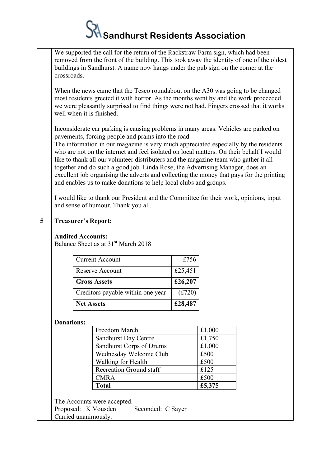## $\mathcal{\hat{S}}$  Sandhurst Residents Association

|                           | We supported the call for the return of the Rackstraw Farm sign, which had been<br>removed from the front of the building. This took away the identity of one of the oldest<br>buildings in Sandhurst. A name now hangs under the pub sign on the corner at the<br>crossroads.                                                                                                                                                                                                                                                                                                                                                                                                                                                                                |                                                                                                                                                                                                                                                                                                |                        |         |        |  |  |
|---------------------------|---------------------------------------------------------------------------------------------------------------------------------------------------------------------------------------------------------------------------------------------------------------------------------------------------------------------------------------------------------------------------------------------------------------------------------------------------------------------------------------------------------------------------------------------------------------------------------------------------------------------------------------------------------------------------------------------------------------------------------------------------------------|------------------------------------------------------------------------------------------------------------------------------------------------------------------------------------------------------------------------------------------------------------------------------------------------|------------------------|---------|--------|--|--|
|                           |                                                                                                                                                                                                                                                                                                                                                                                                                                                                                                                                                                                                                                                                                                                                                               | When the news came that the Tesco roundabout on the A30 was going to be changed<br>most residents greeted it with horror. As the months went by and the work proceeded<br>we were pleasantly surprised to find things were not bad. Fingers crossed that it works<br>well when it is finished. |                        |         |        |  |  |
|                           | Inconsiderate car parking is causing problems in many areas. Vehicles are parked on<br>pavements, forcing people and prams into the road<br>The information in our magazine is very much appreciated especially by the residents<br>who are not on the internet and feel isolated on local matters. On their behalf I would<br>like to thank all our volunteer distributers and the magazine team who gather it all<br>together and do such a good job. Linda Rose, the Advertising Manager, does an<br>excellent job organising the adverts and collecting the money that pays for the printing<br>and enables us to make donations to help local clubs and groups.<br>I would like to thank our President and the Committee for their work, opinions, input |                                                                                                                                                                                                                                                                                                |                        |         |        |  |  |
| $\overline{\overline{5}}$ | and sense of humour. Thank you all.<br><b>Treasurer's Report:</b>                                                                                                                                                                                                                                                                                                                                                                                                                                                                                                                                                                                                                                                                                             |                                                                                                                                                                                                                                                                                                |                        |         |        |  |  |
|                           | <b>Audited Accounts:</b><br>Balance Sheet as at 31 <sup>st</sup> March 2018                                                                                                                                                                                                                                                                                                                                                                                                                                                                                                                                                                                                                                                                                   |                                                                                                                                                                                                                                                                                                |                        |         |        |  |  |
|                           |                                                                                                                                                                                                                                                                                                                                                                                                                                                                                                                                                                                                                                                                                                                                                               |                                                                                                                                                                                                                                                                                                | <b>Current Account</b> | £756    |        |  |  |
|                           |                                                                                                                                                                                                                                                                                                                                                                                                                                                                                                                                                                                                                                                                                                                                                               | <b>Reserve Account</b>                                                                                                                                                                                                                                                                         |                        | £25,451 |        |  |  |
|                           |                                                                                                                                                                                                                                                                                                                                                                                                                                                                                                                                                                                                                                                                                                                                                               | <b>Gross Assets</b>                                                                                                                                                                                                                                                                            |                        | £26,207 |        |  |  |
|                           |                                                                                                                                                                                                                                                                                                                                                                                                                                                                                                                                                                                                                                                                                                                                                               | Creditors payable within one year                                                                                                                                                                                                                                                              |                        | (f.720) |        |  |  |
|                           | <b>Net Assets</b>                                                                                                                                                                                                                                                                                                                                                                                                                                                                                                                                                                                                                                                                                                                                             |                                                                                                                                                                                                                                                                                                | £28,487                |         |        |  |  |
| <b>Donations:</b>         |                                                                                                                                                                                                                                                                                                                                                                                                                                                                                                                                                                                                                                                                                                                                                               |                                                                                                                                                                                                                                                                                                |                        |         |        |  |  |
|                           |                                                                                                                                                                                                                                                                                                                                                                                                                                                                                                                                                                                                                                                                                                                                                               |                                                                                                                                                                                                                                                                                                | Freedom March          |         | £1,000 |  |  |
|                           |                                                                                                                                                                                                                                                                                                                                                                                                                                                                                                                                                                                                                                                                                                                                                               | <b>Sandhurst Day Centre</b>                                                                                                                                                                                                                                                                    |                        |         | £1,750 |  |  |
|                           | <b>Sandhurst Corps of Drums</b>                                                                                                                                                                                                                                                                                                                                                                                                                                                                                                                                                                                                                                                                                                                               |                                                                                                                                                                                                                                                                                                |                        | £1,000  |        |  |  |
|                           |                                                                                                                                                                                                                                                                                                                                                                                                                                                                                                                                                                                                                                                                                                                                                               | Wednesday Welcome Club<br>£500                                                                                                                                                                                                                                                                 |                        |         |        |  |  |
|                           | Walking for Health                                                                                                                                                                                                                                                                                                                                                                                                                                                                                                                                                                                                                                                                                                                                            |                                                                                                                                                                                                                                                                                                | £500                   |         |        |  |  |
|                           | <b>Recreation Ground staff</b>                                                                                                                                                                                                                                                                                                                                                                                                                                                                                                                                                                                                                                                                                                                                |                                                                                                                                                                                                                                                                                                |                        | £125    |        |  |  |
|                           | <b>CMRA</b>                                                                                                                                                                                                                                                                                                                                                                                                                                                                                                                                                                                                                                                                                                                                                   |                                                                                                                                                                                                                                                                                                |                        | £500    |        |  |  |
|                           | <b>Total</b>                                                                                                                                                                                                                                                                                                                                                                                                                                                                                                                                                                                                                                                                                                                                                  |                                                                                                                                                                                                                                                                                                |                        |         | £5,375 |  |  |
|                           | The Accounts were accepted.<br>Proposed: K Vousden<br>Seconded: C Sayer<br>Carried unanimously.                                                                                                                                                                                                                                                                                                                                                                                                                                                                                                                                                                                                                                                               |                                                                                                                                                                                                                                                                                                |                        |         |        |  |  |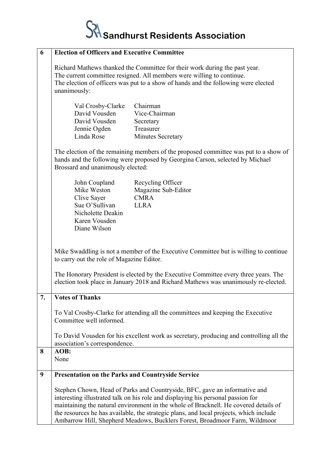

| 6  | <b>Election of Officers and Executive Committee</b>                                                                                                                                                                                                                                                                                                                                                                            |  |  |  |
|----|--------------------------------------------------------------------------------------------------------------------------------------------------------------------------------------------------------------------------------------------------------------------------------------------------------------------------------------------------------------------------------------------------------------------------------|--|--|--|
|    | Richard Mathews thanked the Committee for their work during the past year.<br>The current committee resigned. All members were willing to continue.<br>The election of officers was put to a show of hands and the following were elected<br>unanimously:                                                                                                                                                                      |  |  |  |
|    | Chairman<br>Val Crosby-Clarke<br>David Vousden<br>Vice-Chairman<br>David Vousden<br>Secretary<br>Treasurer<br>Jennie Ogden<br>Linda Rose<br><b>Minutes Secretary</b>                                                                                                                                                                                                                                                           |  |  |  |
|    | The election of the remaining members of the proposed committee was put to a show of<br>hands and the following were proposed by Georgina Carson, selected by Michael<br>Brossard and unanimously elected:                                                                                                                                                                                                                     |  |  |  |
|    | John Coupland<br>Recycling Officer<br>Mike Weston<br>Magazine Sub-Editor<br><b>CMRA</b><br>Clive Sayer<br>Sue O'Sullivan<br><b>LLRA</b><br>Nicholette Deakin<br>Karen Vousden<br>Diane Wilson                                                                                                                                                                                                                                  |  |  |  |
|    | Mike Swaddling is not a member of the Executive Committee but is willing to continue<br>to carry out the role of Magazine Editor.                                                                                                                                                                                                                                                                                              |  |  |  |
|    | The Honorary President is elected by the Executive Committee every three years. The<br>election took place in January 2018 and Richard Mathews was unanimously re-elected.                                                                                                                                                                                                                                                     |  |  |  |
| 7. | <b>Votes of Thanks</b>                                                                                                                                                                                                                                                                                                                                                                                                         |  |  |  |
|    | To Val Crosby-Clarke for attending all the committees and keeping the Executive<br>Committee well informed.                                                                                                                                                                                                                                                                                                                    |  |  |  |
|    | To David Vousden for his excellent work as secretary, producing and controlling all the<br>association's correspondence.                                                                                                                                                                                                                                                                                                       |  |  |  |
| 8  | AOB:<br>None                                                                                                                                                                                                                                                                                                                                                                                                                   |  |  |  |
| 9  | <b>Presentation on the Parks and Countryside Service</b>                                                                                                                                                                                                                                                                                                                                                                       |  |  |  |
|    | Stephen Chown, Head of Parks and Countryside, BFC, gave an informative and<br>interesting illustrated talk on his role and displaying his personal passion for<br>maintaining the natural environment in the whole of Bracknell. He covered details of<br>the resources he has available, the strategic plans, and local projects, which include<br>Ambarrow Hill, Shepherd Meadows, Bucklers Forest, Broadmoor Farm, Wildmoor |  |  |  |